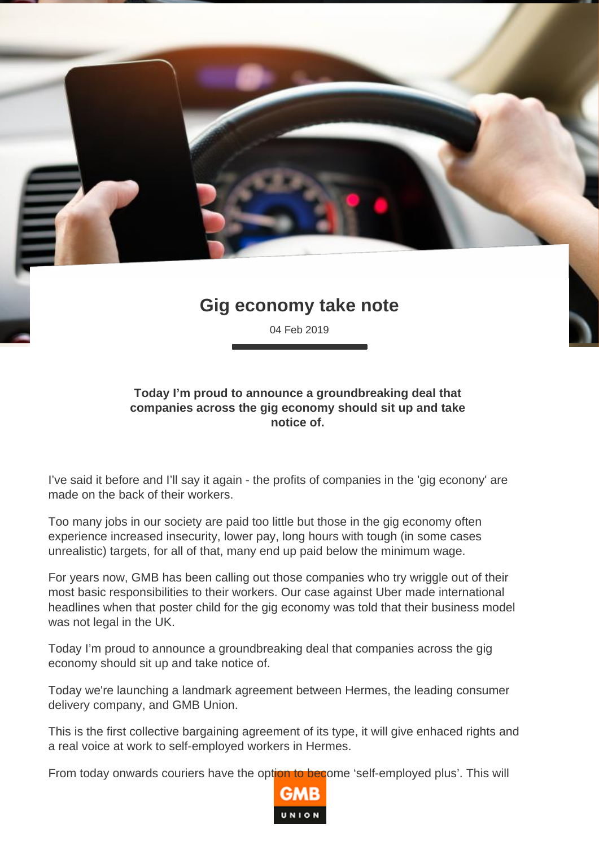## **Gig economy take note**

04 Feb 2019

## **Today I'm proud to announce a groundbreaking deal that companies across the gig economy should sit up and take notice of.**

I've said it before and I'll say it again - the profits of companies in the 'gig econony' are made on the back of their workers.

Too many jobs in our society are paid too little but those in the gig economy often experience increased insecurity, lower pay, long hours with tough (in some cases unrealistic) targets, for all of that, many end up paid below the minimum wage.

For years now, GMB has been calling out those companies who try wriggle out of their most basic responsibilities to their workers. Our case against Uber made international headlines when that poster child for the gig economy was told that their business model was not legal in the UK.

Today I'm proud to announce a groundbreaking deal that companies across the gig economy should sit up and take notice of.

Today we're launching a landmark agreement between Hermes, the leading consumer delivery company, and GMB Union.

This is the first collective bargaining agreement of its type, it will give enhaced rights and a real voice at work to self-employed workers in Hermes.

From today onwards couriers have the option to become 'self-employed plus'. This will